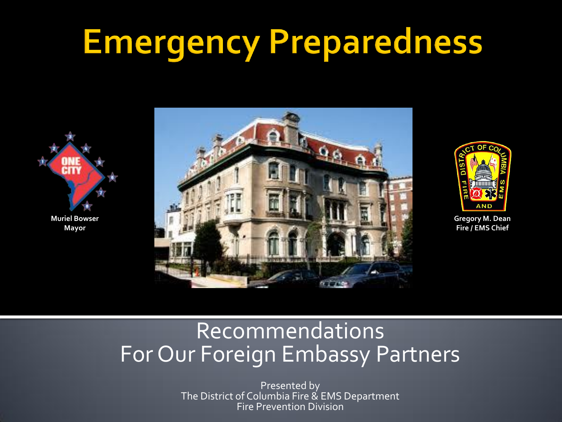### **Emergency Preparedness**







**Gregory M. Dean Fire / EMS Chief**

#### Recommendations For Our Foreign Embassy Partners

Presented by The District of Columbia Fire & EMS Department Fire Prevention Division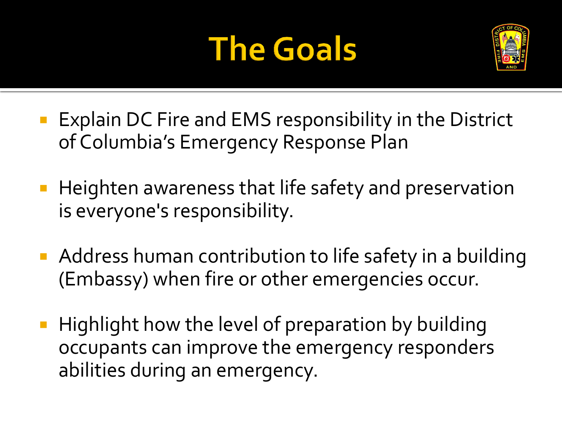### **The Goals**



- **Explain DC Fire and EMS responsibility in the District** of Columbia's Emergency Response Plan
- Heighten awareness that life safety and preservation is everyone's responsibility.
- Address human contribution to life safety in a building (Embassy) when fire or other emergencies occur.
- Highlight how the level of preparation by building occupants can improve the emergency responders abilities during an emergency.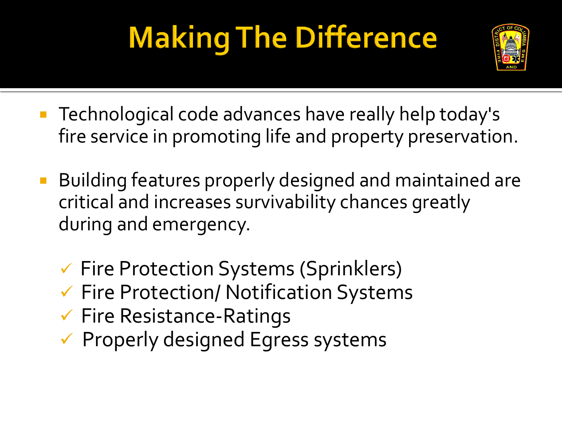### **Making The Difference**



- **Technological code advances have really help today's** fire service in promoting life and property preservation.
- **Building features properly designed and maintained are** critical and increases survivability chances greatly during and emergency.
	- Fire Protection Systems (Sprinklers)
	- $\checkmark$  Fire Protection/ Notification Systems
	- $\checkmark$  Fire Resistance-Ratings
	- $\checkmark$  Properly designed Egress systems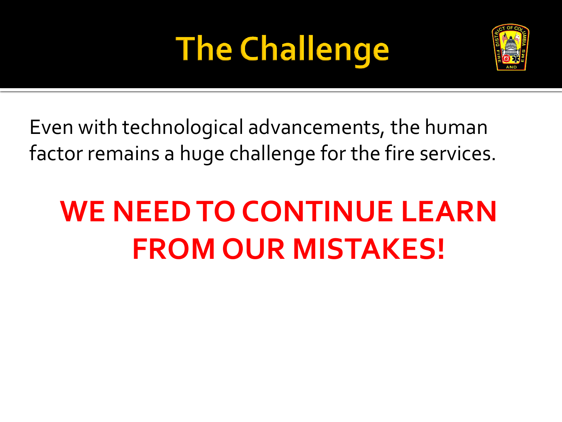# **The Challenge**



Even with technological advancements, the human factor remains a huge challenge for the fire services.

#### **WE NEED TO CONTINUE LEARN FROM OUR MISTAKES!**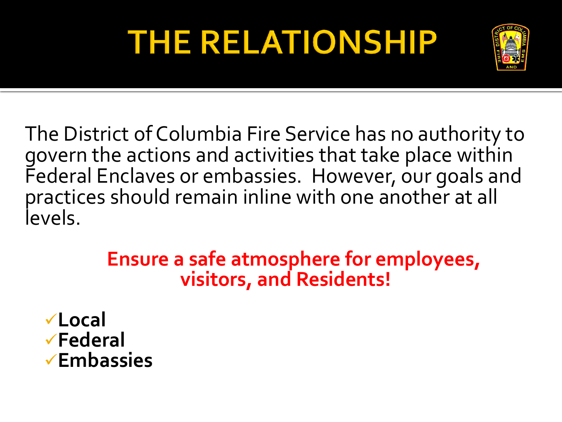## **THE RELATIONSHIP**



The District of Columbia Fire Service has no authority to govern the actions and activities that take place within Federal Enclaves or embassies. However, our goals and practices should remain inline with one another at all levels.

#### **Ensure a safe atmosphere for employees, visitors, and Residents!**

**Local Federal Embassies**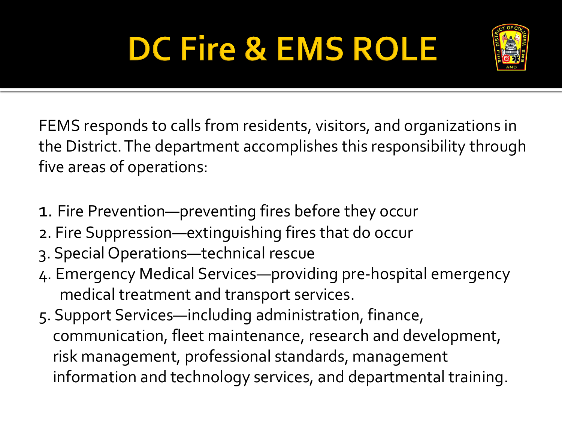

FEMS responds to calls from residents, visitors, and organizations in the District. The department accomplishes this responsibility through five areas of operations:

- 1. Fire Prevention—preventing fires before they occur
- 2. Fire Suppression—extinguishing fires that do occur
- 3. Special Operations—technical rescue
- 4. Emergency Medical Services—providing pre-hospital emergency medical treatment and transport services.
- 5. Support Services—including administration, finance, communication, fleet maintenance, research and development, risk management, professional standards, management information and technology services, and departmental training.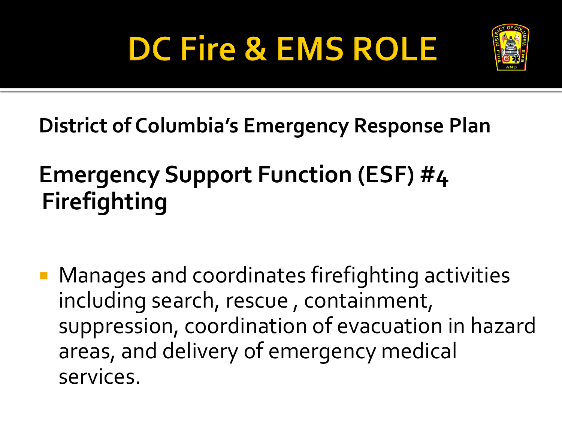

**District of Columbia's Emergency Response Plan**

#### **Emergency Support Function (ESF) #4 Firefighting**

■ Manages and coordinates firefighting activities including search, rescue , containment, suppression, coordination of evacuation in hazard areas, and delivery of emergency medical services.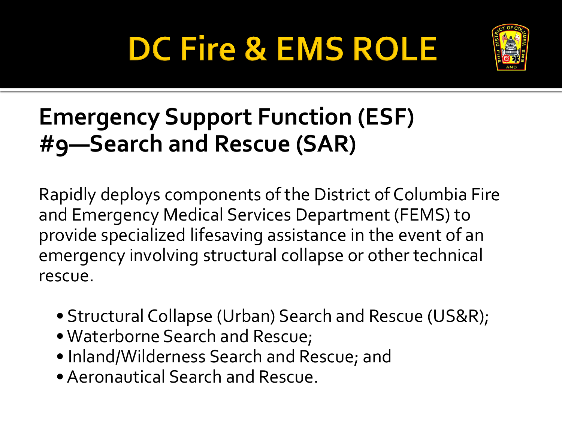

#### **Emergency Support Function (ESF) #9—Search and Rescue (SAR)**

Rapidly deploys components of the District of Columbia Fire and Emergency Medical Services Department (FEMS) to provide specialized lifesaving assistance in the event of an emergency involving structural collapse or other technical rescue.

- Structural Collapse (Urban) Search and Rescue (US&R);
- Waterborne Search and Rescue;
- Inland/Wilderness Search and Rescue; and
- Aeronautical Search and Rescue.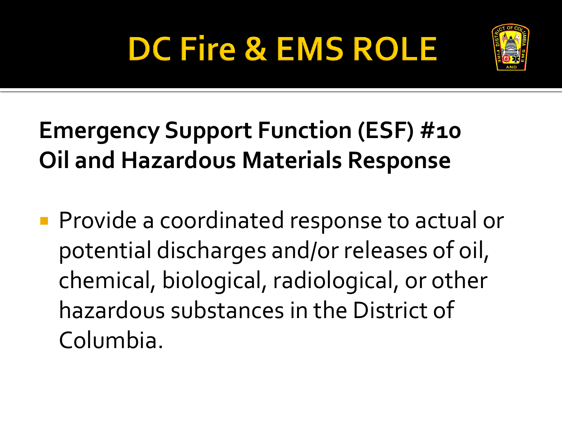

#### **Emergency Support Function (ESF) #10 Oil and Hazardous Materials Response**

**Provide a coordinated response to actual or** potential discharges and/or releases of oil, chemical, biological, radiological, or other hazardous substances in the District of Columbia.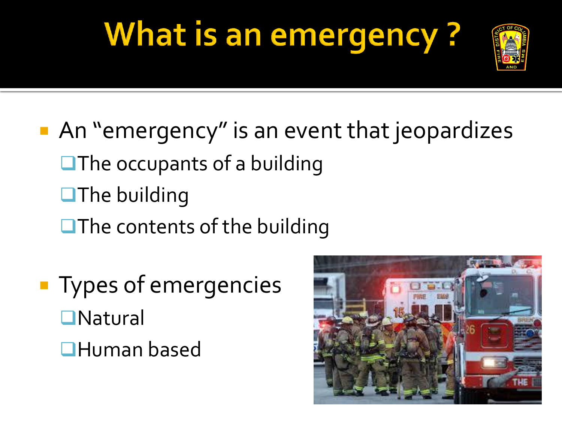### **What is an emergency?**



- An "emergency" is an event that jeopardizes  $\Box$  The occupants of a building  $\Box$ The building  $\Box$  The contents of the building
- **Types of emergencies O**Natural
	- **Human based**

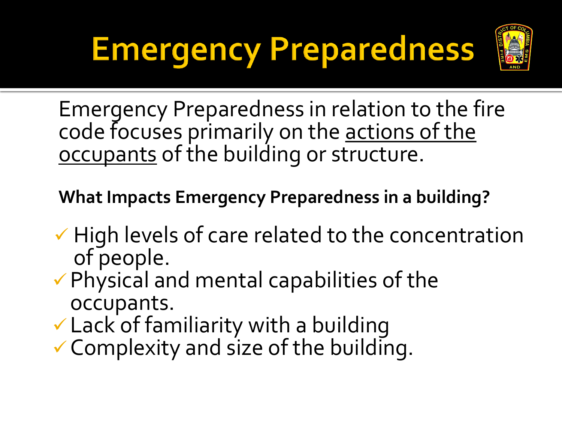



Emergency Preparedness in relation to the fire code focuses primarily on the actions of the occupants of the building or structure.

**What Impacts Emergency Preparedness in a building?**

- $\checkmark$  High levels of care related to the concentration of people.
- $\checkmark$  Physical and mental capabilities of the occupants.
- $\checkmark$  Lack of familiarity with a building
- Complexity and size of the building.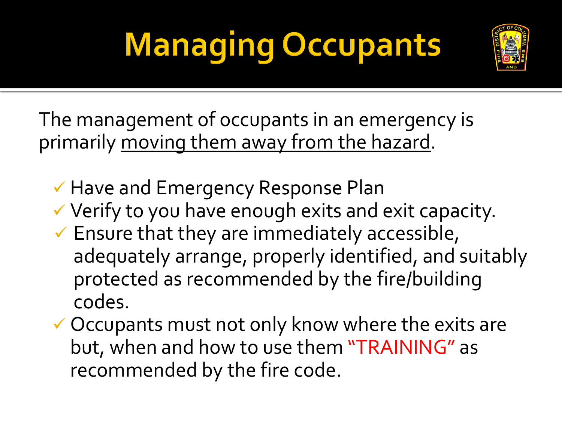# **Managing Occupants**



The management of occupants in an emergency is primarily moving them away from the hazard.

- $\checkmark$  Have and Emergency Response Plan
- Verify to you have enough exits and exit capacity.
- $\checkmark$  Ensure that they are immediately accessible, adequately arrange, properly identified, and suitably protected as recommended by the fire/building codes.
- Occupants must not only know where the exits are but, when and how to use them "TRAINING" as recommended by the fire code.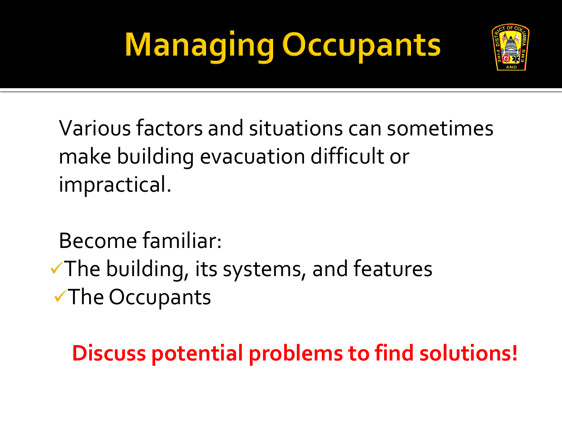# **Managing Occupants**



Various factors and situations can sometimes make building evacuation difficult or impractical.

Become familiar:

 $\sqrt{\ }$ The building, its systems, and features The Occupants

#### **Discuss potential problems to find solutions!**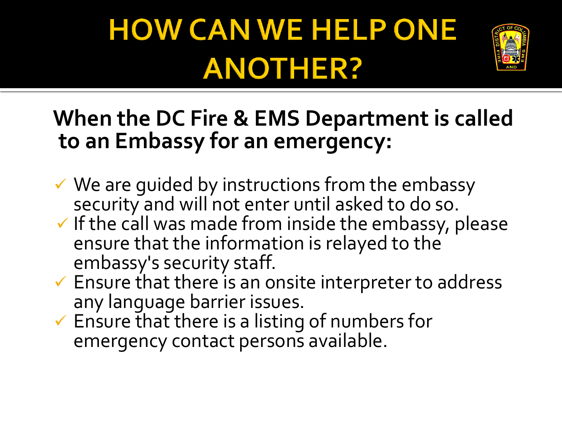#### **HOW CAN WE HELP ONE ANOTHER?**



 **When the DC Fire & EMS Department is called to an Embassy for an emergency:**

- $\checkmark$  We are guided by instructions from the embassy security and will not enter until asked to do so.
- $\checkmark$  If the call was made from inside the embassy, please ensure that the information is relayed to the embassy's security staff.
- $\checkmark$  Ensure that there is an onsite interpreter to address any language barrier issues.
- $\checkmark$  Ensure that there is a listing of numbers for emergency contact persons available.